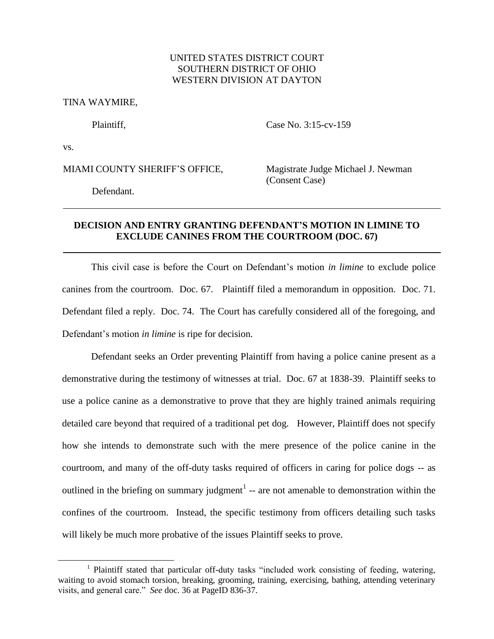## UNITED STATES DISTRICT COURT SOUTHERN DISTRICT OF OHIO WESTERN DIVISION AT DAYTON

TINA WAYMIRE,

Plaintiff, Case No. 3:15-cv-159

vs.

 $\overline{a}$ 

MIAMI COUNTY SHERIFF'S OFFICE, Magistrate Judge Michael J. Newman

(Consent Case)

Defendant.

## **DECISION AND ENTRY GRANTING DEFENDANT'S MOTION IN LIMINE TO EXCLUDE CANINES FROM THE COURTROOM (DOC. 67)**

This civil case is before the Court on Defendant's motion *in limine* to exclude police canines from the courtroom. Doc. 67. Plaintiff filed a memorandum in opposition. Doc. 71. Defendant filed a reply. Doc. 74. The Court has carefully considered all of the foregoing, and Defendant's motion *in limine* is ripe for decision.

Defendant seeks an Order preventing Plaintiff from having a police canine present as a demonstrative during the testimony of witnesses at trial. Doc. 67 at 1838-39. Plaintiff seeks to use a police canine as a demonstrative to prove that they are highly trained animals requiring detailed care beyond that required of a traditional pet dog. However, Plaintiff does not specify how she intends to demonstrate such with the mere presence of the police canine in the courtroom, and many of the off-duty tasks required of officers in caring for police dogs -- as outlined in the briefing on summary judgment<sup>1</sup> -- are not amenable to demonstration within the confines of the courtroom. Instead, the specific testimony from officers detailing such tasks will likely be much more probative of the issues Plaintiff seeks to prove.

<sup>&</sup>lt;sup>1</sup> Plaintiff stated that particular off-duty tasks "included work consisting of feeding, watering, waiting to avoid stomach torsion, breaking, grooming, training, exercising, bathing, attending veterinary visits, and general care." *See* doc. 36 at PageID 836-37.